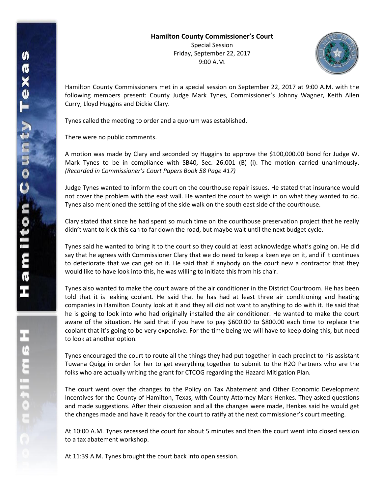

Hamilton County Commissioners met in a special session on September 22, 2017 at 9:00 A.M. with the following members present: County Judge Mark Tynes, Commissioner's Johnny Wagner, Keith Allen Curry, Lloyd Huggins and Dickie Clary.

Tynes called the meeting to order and a quorum was established.

There were no public comments.

A motion was made by Clary and seconded by Huggins to approve the \$100,000.00 bond for Judge W. Mark Tynes to be in compliance with SB40, Sec. 26.001 (B) (i). The motion carried unanimously. *(Recorded in Commissioner's Court Papers Book 58 Page 417)*

Judge Tynes wanted to inform the court on the courthouse repair issues. He stated that insurance would not cover the problem with the east wall. He wanted the court to weigh in on what they wanted to do. Tynes also mentioned the settling of the side walk on the south east side of the courthouse.

Clary stated that since he had spent so much time on the courthouse preservation project that he really didn't want to kick this can to far down the road, but maybe wait until the next budget cycle.

Tynes said he wanted to bring it to the court so they could at least acknowledge what's going on. He did say that he agrees with Commissioner Clary that we do need to keep a keen eye on it, and if it continues to deteriorate that we can get on it. He said that if anybody on the court new a contractor that they would like to have look into this, he was willing to initiate this from his chair.

Tynes also wanted to make the court aware of the air conditioner in the District Courtroom. He has been told that it is leaking coolant. He said that he has had at least three air conditioning and heating companies in Hamilton County look at it and they all did not want to anything to do with it. He said that he is going to look into who had originally installed the air conditioner. He wanted to make the court aware of the situation. He said that if you have to pay \$600.00 to \$800.00 each time to replace the coolant that it's going to be very expensive. For the time being we will have to keep doing this, but need to look at another option.

Tynes encouraged the court to route all the things they had put together in each precinct to his assistant Tuwana Quigg in order for her to get everything together to submit to the H2O Partners who are the folks who are actually writing the grant for CTCOG regarding the Hazard Mitigation Plan.

The court went over the changes to the Policy on Tax Abatement and Other Economic Development Incentives for the County of Hamilton, Texas, with County Attorney Mark Henkes. They asked questions and made suggestions. After their discussion and all the changes were made, Henkes said he would get the changes made and have it ready for the court to ratify at the next commissioner's court meeting.

At 10:00 A.M. Tynes recessed the court for about 5 minutes and then the court went into closed session to a tax abatement workshop.

At 11:39 A.M. Tynes brought the court back into open session.

エムモニャー